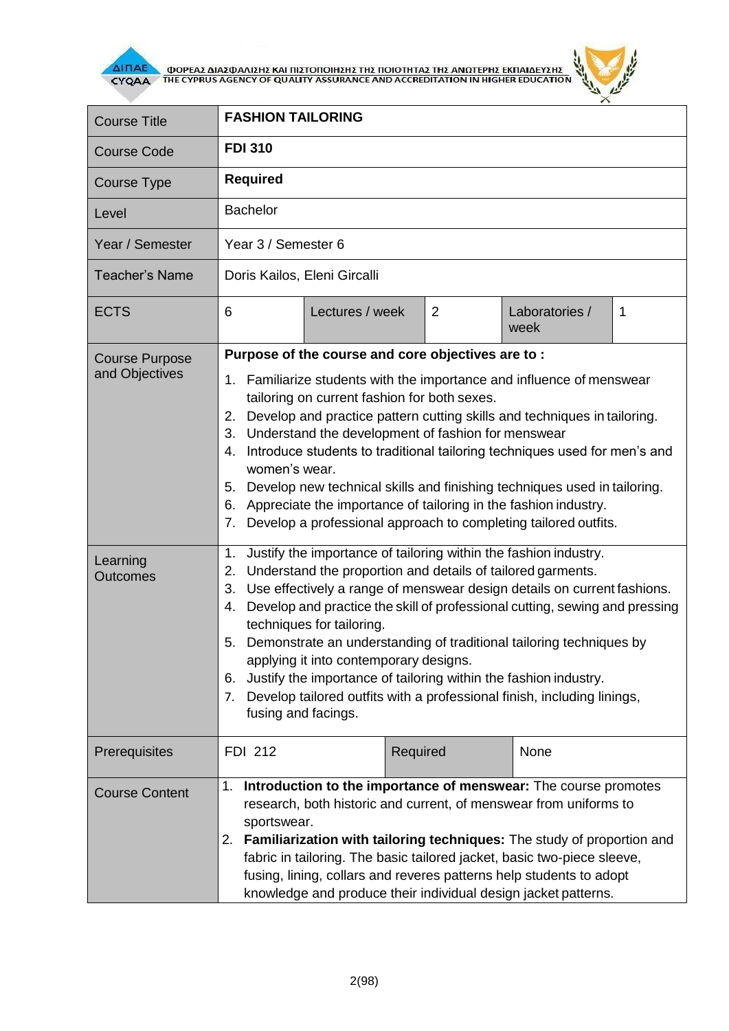

**AITIAE A OOPEAS AIAS DANISHS KAI TIISTOTOIHSHS THS TOIOTHTAS THE ANOTEPHS EKTIAIAEYSHS** 



| <b>Course Title</b>                                                    | <b>FASHION TAILORING</b>                                                                                                                                                                                                                                                                                                                                                                                                                                                                                                                                                                                                                                                                                                                                                                                                                                                                                                                                                                                                                                                                                                                                                                                                                                                                          |                |                        |   |  |
|------------------------------------------------------------------------|---------------------------------------------------------------------------------------------------------------------------------------------------------------------------------------------------------------------------------------------------------------------------------------------------------------------------------------------------------------------------------------------------------------------------------------------------------------------------------------------------------------------------------------------------------------------------------------------------------------------------------------------------------------------------------------------------------------------------------------------------------------------------------------------------------------------------------------------------------------------------------------------------------------------------------------------------------------------------------------------------------------------------------------------------------------------------------------------------------------------------------------------------------------------------------------------------------------------------------------------------------------------------------------------------|----------------|------------------------|---|--|
| <b>Course Code</b>                                                     | <b>FDI 310</b>                                                                                                                                                                                                                                                                                                                                                                                                                                                                                                                                                                                                                                                                                                                                                                                                                                                                                                                                                                                                                                                                                                                                                                                                                                                                                    |                |                        |   |  |
| Course Type                                                            | <b>Required</b>                                                                                                                                                                                                                                                                                                                                                                                                                                                                                                                                                                                                                                                                                                                                                                                                                                                                                                                                                                                                                                                                                                                                                                                                                                                                                   |                |                        |   |  |
| Level                                                                  | <b>Bachelor</b>                                                                                                                                                                                                                                                                                                                                                                                                                                                                                                                                                                                                                                                                                                                                                                                                                                                                                                                                                                                                                                                                                                                                                                                                                                                                                   |                |                        |   |  |
| Year / Semester                                                        | Year 3 / Semester 6                                                                                                                                                                                                                                                                                                                                                                                                                                                                                                                                                                                                                                                                                                                                                                                                                                                                                                                                                                                                                                                                                                                                                                                                                                                                               |                |                        |   |  |
| <b>Teacher's Name</b>                                                  | Doris Kailos, Eleni Gircalli                                                                                                                                                                                                                                                                                                                                                                                                                                                                                                                                                                                                                                                                                                                                                                                                                                                                                                                                                                                                                                                                                                                                                                                                                                                                      |                |                        |   |  |
| <b>ECTS</b>                                                            | Lectures / week<br>6                                                                                                                                                                                                                                                                                                                                                                                                                                                                                                                                                                                                                                                                                                                                                                                                                                                                                                                                                                                                                                                                                                                                                                                                                                                                              | $\overline{2}$ | Laboratories /<br>week | 1 |  |
| <b>Course Purpose</b><br>and Objectives<br>Learning<br><b>Outcomes</b> | Purpose of the course and core objectives are to:<br>1. Familiarize students with the importance and influence of menswear<br>tailoring on current fashion for both sexes.<br>Develop and practice pattern cutting skills and techniques in tailoring.<br>2.<br>Understand the development of fashion for menswear<br>3.<br>Introduce students to traditional tailoring techniques used for men's and<br>4.<br>women's wear.<br>5. Develop new technical skills and finishing techniques used in tailoring.<br>Appreciate the importance of tailoring in the fashion industry.<br>6.<br>Develop a professional approach to completing tailored outfits.<br>7.<br>Justify the importance of tailoring within the fashion industry.<br>1.<br>Understand the proportion and details of tailored garments.<br>2.<br>Use effectively a range of menswear design details on current fashions.<br>3.<br>Develop and practice the skill of professional cutting, sewing and pressing<br>4.<br>techniques for tailoring.<br>Demonstrate an understanding of traditional tailoring techniques by<br>5.<br>applying it into contemporary designs.<br>Justify the importance of tailoring within the fashion industry.<br>6.<br>Develop tailored outfits with a professional finish, including linings,<br>7. |                |                        |   |  |
| Prerequisites                                                          | fusing and facings.<br><b>FDI 212</b>                                                                                                                                                                                                                                                                                                                                                                                                                                                                                                                                                                                                                                                                                                                                                                                                                                                                                                                                                                                                                                                                                                                                                                                                                                                             | Required       | None                   |   |  |
| <b>Course Content</b>                                                  | 1. Introduction to the importance of menswear: The course promotes<br>research, both historic and current, of menswear from uniforms to<br>sportswear.<br>2. Familiarization with tailoring techniques: The study of proportion and<br>fabric in tailoring. The basic tailored jacket, basic two-piece sleeve,<br>fusing, lining, collars and reveres patterns help students to adopt<br>knowledge and produce their individual design jacket patterns.                                                                                                                                                                                                                                                                                                                                                                                                                                                                                                                                                                                                                                                                                                                                                                                                                                           |                |                        |   |  |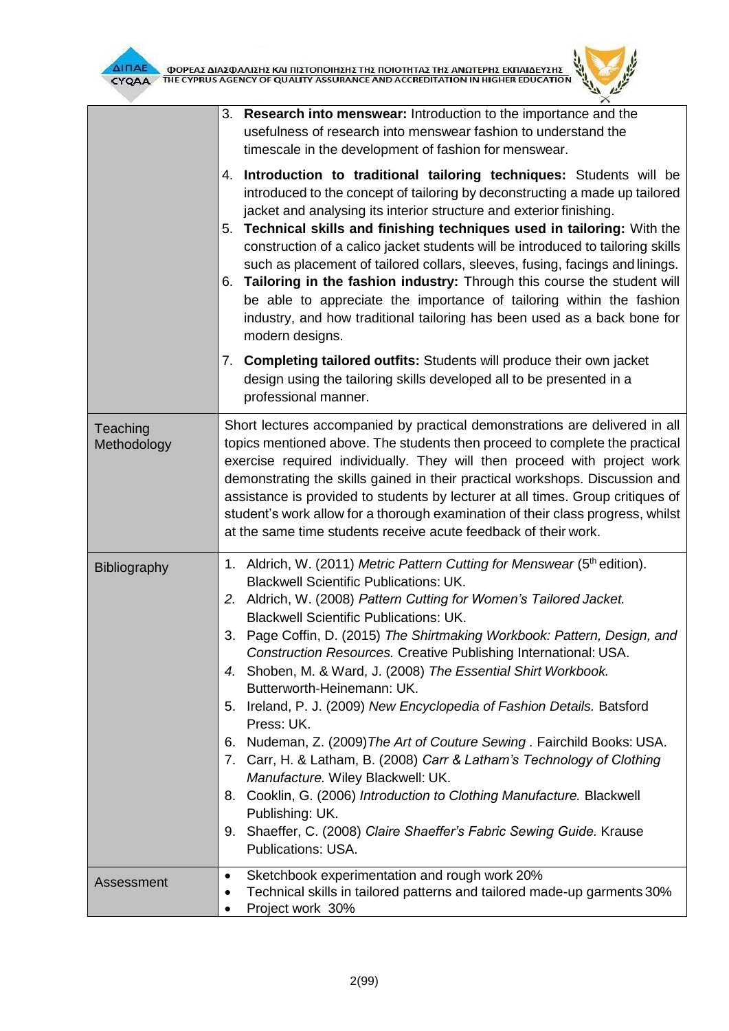



|                         | 3. Research into menswear: Introduction to the importance and the<br>usefulness of research into menswear fashion to understand the<br>timescale in the development of fashion for menswear.                                                                                                                                                                                                                                                                                                                                                                                                                                                                                                                                                                                                                                                                                                                                                                                             |  |  |
|-------------------------|------------------------------------------------------------------------------------------------------------------------------------------------------------------------------------------------------------------------------------------------------------------------------------------------------------------------------------------------------------------------------------------------------------------------------------------------------------------------------------------------------------------------------------------------------------------------------------------------------------------------------------------------------------------------------------------------------------------------------------------------------------------------------------------------------------------------------------------------------------------------------------------------------------------------------------------------------------------------------------------|--|--|
|                         | 4. Introduction to traditional tailoring techniques: Students will be<br>introduced to the concept of tailoring by deconstructing a made up tailored<br>jacket and analysing its interior structure and exterior finishing.<br>5. Technical skills and finishing techniques used in tailoring: With the<br>construction of a calico jacket students will be introduced to tailoring skills<br>such as placement of tailored collars, sleeves, fusing, facings and linings.<br>6. Tailoring in the fashion industry: Through this course the student will<br>be able to appreciate the importance of tailoring within the fashion<br>industry, and how traditional tailoring has been used as a back bone for<br>modern designs.                                                                                                                                                                                                                                                          |  |  |
|                         | 7. Completing tailored outfits: Students will produce their own jacket<br>design using the tailoring skills developed all to be presented in a<br>professional manner.                                                                                                                                                                                                                                                                                                                                                                                                                                                                                                                                                                                                                                                                                                                                                                                                                   |  |  |
| Teaching<br>Methodology | Short lectures accompanied by practical demonstrations are delivered in all<br>topics mentioned above. The students then proceed to complete the practical<br>exercise required individually. They will then proceed with project work<br>demonstrating the skills gained in their practical workshops. Discussion and<br>assistance is provided to students by lecturer at all times. Group critiques of<br>student's work allow for a thorough examination of their class progress, whilst<br>at the same time students receive acute feedback of their work.                                                                                                                                                                                                                                                                                                                                                                                                                          |  |  |
| <b>Bibliography</b>     | 1. Aldrich, W. (2011) Metric Pattern Cutting for Menswear (5 <sup>th</sup> edition).<br><b>Blackwell Scientific Publications: UK.</b><br>2. Aldrich, W. (2008) Pattern Cutting for Women's Tailored Jacket.<br><b>Blackwell Scientific Publications: UK.</b><br>3. Page Coffin, D. (2015) The Shirtmaking Workbook: Pattern, Design, and<br>Construction Resources. Creative Publishing International: USA.<br>4. Shoben, M. & Ward, J. (2008) The Essential Shirt Workbook.<br>Butterworth-Heinemann: UK.<br>5. Ireland, P. J. (2009) New Encyclopedia of Fashion Details. Batsford<br>Press: UK.<br>Nudeman, Z. (2009) The Art of Couture Sewing. Fairchild Books: USA.<br>6.<br>7. Carr, H. & Latham, B. (2008) Carr & Latham's Technology of Clothing<br>Manufacture. Wiley Blackwell: UK.<br>8. Cooklin, G. (2006) Introduction to Clothing Manufacture. Blackwell<br>Publishing: UK.<br>9. Shaeffer, C. (2008) Claire Shaeffer's Fabric Sewing Guide. Krause<br>Publications: USA. |  |  |
| Assessment              | Sketchbook experimentation and rough work 20%<br>$\bullet$<br>Technical skills in tailored patterns and tailored made-up garments 30%<br>Project work 30%                                                                                                                                                                                                                                                                                                                                                                                                                                                                                                                                                                                                                                                                                                                                                                                                                                |  |  |